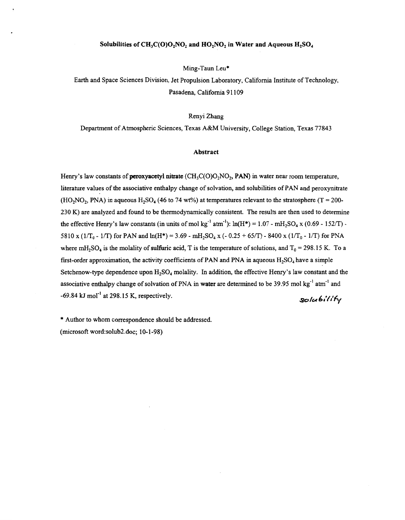## Solubilities of  $CH_3C(O)O_2NO_2$  and  $HO_2NO_2$  in Water and Aqueous  $H_2SO_4$

Ming-Taun Leu\*

Earth and Space Sciences Division, Jet Propulsion Laboratory, California Institute of Technology, Pasadena, California 91109

## Renyi Zhang

Department of Atmospheric Sciences, Texas A&M University, College Station, Texas 77843

## **Abstract**

Henry's law constants of **peroxyacetyl nitrate** (CH<sub>3</sub>C(O)O<sub>2</sub>NO<sub>2</sub>, **PAN**) in water near room temperature, literature values of the associative enthalpy change of solvation, and solubilities of PAN and peroxynitrate (HO<sub>2</sub>NO<sub>2</sub>, PNA) in aqueous H<sub>2</sub>SO<sub>4</sub> (46 to 74 wt%) at temperatures relevant to the stratosphere (T = 200-230 K) are analyzed and found to be thermodynamically consistent. The results are then used to determine the effective Henry's law constants (in units of mol kg<sup>-1</sup> atm<sup>-1</sup>):  $ln(H^*) = 1.07 - mH_2SO_4 \times (0.69 - 152/T)$  -5810 x ( $1/T_0$  -  $1/T$ ) for PAN and  $ln(H^*)$  = 3.69 -  $mH_2SO_4$  x (- 0.25 + 65/T) - 8400 x ( $1/T_0$  -  $1/T$ ) for PNA where  $mH_2SO_4$  is the molality of sulfuric acid, T is the temperature of solutions, and  $T_0 = 298.15$  K. To a first-order approximation, the activity coefficients of PAN and PNA in aqueous  $H_2SO_4$  have a simple Setchenow-type dependence upon  $H_2SO_4$  molality. In addition, the effective Henry's law constant and the associative enthalpy change of solvation of PNA in water are determined to be 39.95 mol  $kg^{-1}$  atm<sup>-1</sup> and -69.84 **kJ** mol" at 298.15 K, respectively. *ao/u* **6** *'./I)+* 

\* Author to whom correspondence should be addressed. (microsoft word:solub2.doc; 10-1-98)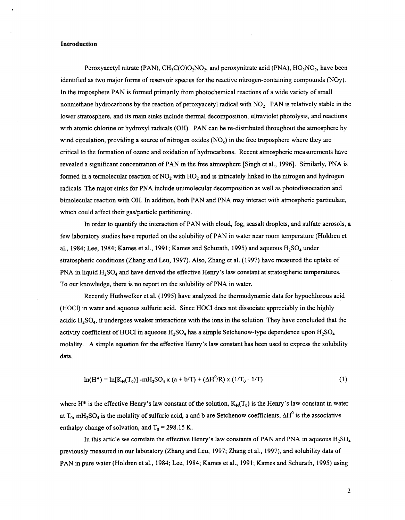## **Introduction**

Peroxyacetyl nitrate (PAN),  $CH_3C(O)O_2NO_2$ , and peroxynitrate acid (PNA),  $HO_2NO_2$ , have been identified as two major forms of reservoir species for the reactive nitrogen-containing compounds (NOy). In the troposphere PAN is formed primarily from photochemical reactions of a wide variety of small nonmethane hydrocarbons by the reaction of peroxyacetyl radical with NO<sub>2</sub>. PAN is relatively stable in the lower stratosphere, and its main sinks include thermal decomposition, ultraviolet photolysis, and reactions with atomic chlorine or hydroxyl radicals (OH). PAN can be re-distributed throughout the atmosphere by wind circulation, providing a source of nitrogen oxides *(NO<sub>x</sub>)* in the free troposphere where they are critical to the formation of ozone and oxidation of hydrocarbons. Recent atmospheric measurements have revealed a significant concentration of PAN in the free atmosphere [Singh et al., **19961.** Similarly, PNA is formed in a termolecular reaction of NO, with HO, and **is** intricately linked to the nitrogen and hydrogen radicals. The major sinks for PNA include unimolecular decomposition as well as photodissociation and bimolecular reaction with OH. In addition, both PAN and PNA may interact with atmospheric particulate, which could affect their gas/particle partitioning.

In order to quantify the interaction of PAN with cloud, fog, seasalt droplets, and sulfate aerosols, a few laboratory studies have reported on the solubility of PAN in water near room temperature (Holdren et al., **1984;** Lee, **1984;** Kames et al., **1991;** Kames and Schurath, **1995)** and aqueous **H2S04** under stratospheric conditions (Zhang and Leu, **1997).** Also, Zhang et al. **(1997)** have measured the uptake of PNA in liquid H<sub>2</sub>SO<sub>4</sub> and have derived the effective Henry's law constant at stratospheric temperatures. To our knowledge, there is no report on the solubility of PNA in water.

Recently Huthwelker et al. **(1995)** have analyzed the thermodynamic data for hypochlorous acid (HOCl) in water and aqueous sulfuric acid. Since HOCl does not dissociate appreciably in the highly acidic H2S04, it undergoes weaker interactions with the ions in the solution. They have concluded that the activity coefficient of HOCl in aqueous  $H_2SO_4$  has a simple Setchenow-type dependence upon  $H_2SO_4$ molality. **A** simple equation for the effective Henry's law constant has been used to express the solubility data,

$$
\ln(H^*) = \ln[K_H(T_0)] - mH_2SO_4 \times (a + b/T) + (\Delta H^0/R) \times (1/T_0 - 1/T)
$$
 (1)

where H<sup>\*</sup> is the effective Henry's law constant of the solution,  $K_H(T_0)$  is the Henry's law constant in water at T<sub>0</sub>,  $mH_2SO_4$  is the molality of sulfuric acid, a and b are Setchenow coefficients,  $\Delta H^0$  is the associative enthalpy change of solvation, and  $T_0 = 298.15$  K.

In this article we correlate the effective Henry's law constants of PAN and PNA in aqueous  $H_2SO_4$ previously measured in our laboratory (Zhang and Leu, 1997; Zhang et al., **1997).** and solubility data of PAN in pure water (Holdren et al., 1984; Lee, 1984; Kames et al., 1991; Kames and Schurath, 1995) using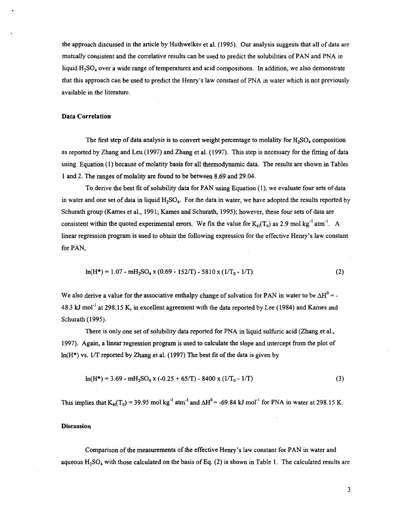the approach discussed in the article by Huthwelker et al. **(1995). Our** analysis suggests that all of data are mutually consistent and the correlative results can be used to predict the solubilities of **PAN** and PNA in liquid H<sub>2</sub>SO<sub>4</sub> over a wide range of temperatures and acid compositions. In addition, we also demonstrate that this approach can be used to predict the Henry's law constant of **PNA** in water which is not previously available in the literature.

#### **Data Correlation**

The first step of data analysis is to convert weight percentage to molality for  $H_2SO_4$  composition as reported by Zhang and Leu **(1997)** and Zhang et al. **(1997).** This step is necessary for the fitting of data using Equation **(1)** because **of** molatity basis for all thermodynamic data. The results are shown in [Tables](#page-5-0) **[1](#page-5-0)** and **2.** The ranges of molality are found to be between **8.69** and **29.04.** 

To derive the best **fit** of solubility data for **PAN** using Equation **(1),** we evaluate four sets of data in water and one set of data in liquid  $H_2SO_4$ . For the data in water, we have adopted the results reported by Schurath group (Kames et al., **1991;** Kames and Schurath, **1995);** however, these four sets of data are consistent within the quoted experimental errors. We fix the value for  $K_H(T_0)$  as 2.9 mol kg<sup>-1</sup> atm<sup>-1</sup>. A linear regression program is used to obtain the following expression for the effective Henry's law constant for **PAN,** 

$$
\ln(H^*) = 1.07 - m_{2}SO_{4} \times (0.69 - 152/T) - 5810 \times (1/T_{0} - 1/T)
$$
 (2)

We also derive a value for the associative enthalpy change of solvation for PAN in water to be  $\Delta H^0 = -$ **48.3** kJ mol" at **298.15** K, in excellent agreement with the data reported by Lee **(1984)** and Kames and Schurath (1995).

There is only one set of solubility data reported for **PNA** in liquid sulfuric acid (Zhang et al., **1997).** Again, a linear regression program is used to calculate the slope and intercept from the plot of ln(H\*) vs. **1/T** reported by Zhang et al. **(1997)** The best fit of the data is given by

$$
ln(H^*) = 3.69 - mH_2SO_4 \times (-0.25 + 65/T) - 8400 \times (1/T_0 - 1/T)
$$
 (3)

This implies that  $K_H(T_0) = 39.95$  mol kg<sup>-1</sup> atm<sup>-1</sup> and  $\Delta H^0 = -69.84$  kJ mol<sup>-1</sup> for PNA in water at 298.15 K.

### **Discussion**

Comparison of the measurements of the effective Henry's law constant for **PAN** in water and aqueous HzS04 with those calculated on the basis of Eq. **(2)** is **shown** in [Table](#page-5-0) **1.** The calculated results are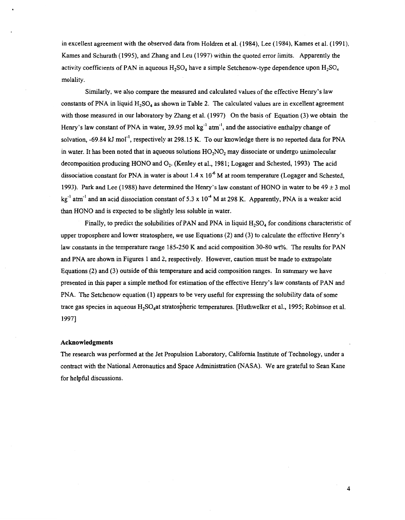in excellent agreement with the observed data from Holdren et al. **(1984),** Lee **(1984),** Kames et **al. (1991),**  Kames and Schurath (1995), and Zhang and Leu **(1997)** within the quoted error limits. Apparently the activity coefficients of PAN in aqueous  $H_2SO_4$  have a simple Setchenow-type dependence upon  $H_2SO_4$ molality.

Similarly, we also compare the measured and calculated values of the effective Henry's law constants of PNA in liquid **H2S04** as shown in [Table](#page-6-0) **2.** The calculated values are in excellent agreement with those measured in our laboratory by Zhang et al. **(1997)** On the basis of **Equation (3)** we obtain the Henry's law constant of PNA in water, 39.95 mol kg<sup>-1</sup> atm<sup>-1</sup>, and the associative enthalpy change of solvation, **-69.84 kJ** mol", respectively at 298.15 K. To our knowledge there is no reported data for PNA in water. It has been noted that in aqueous solutions HO<sub>2</sub>NO<sub>2</sub> may dissociate or undergo unimolecular decomposition producing HONO and **02.** (Kenley et al., 1981; Logager and Schested, **1993)** The acid dissociation constant for PNA in water is about **1.4** x **1** *O6* M at room temperature (Logager and Schested, **1993).** Park and Lee **(1988)** have determined the Henry's law constant of HONO in water to be **49** k 3 mol kg<sup>-1</sup> atm<sup>-1</sup> and an acid dissociation constant of 5.3 x 10<sup>-4</sup> M at 298 K. Apparently, PNA is a weaker acid than HONO and is expected to be slightly less soluble in water.

Finally, to predict the solubilities of PAN and PNA in liquid  $H_2SO_4$  for conditions characteristic of upper troposphere and lower stratosphere, we use Equations **(2)** and **(3)** to calculate the effective Henry's law constants in the temperature range **185-250** K and acid composition **30-80 wt%.** The results for PAN and PNA are **shown** in Figures **1 and 2,** respectively. However, caution must be made to extrapolate Equations **(2) and (3)** outside of this temperature and acid composition ranges. In summary we have presented in this paper a simple method for estimation of the effective Henry's law constants of PAN and PNA. The Setchenow equation (1) appears to be very useful for expressing the solubility data of some trace gas species in aqueous H2S04at stratosbheric temperatures. [Huthwelker et al., **1995;** Robinson et al. **19971** 

#### **Acknowledgments**

The research was performed at the Jet Propulsion Laboratory, California Institute of Technology, under a contract with the National Aeronautics and Space Administration (NASA). We are grateful to Sean Kane for helpful discussions.

**4**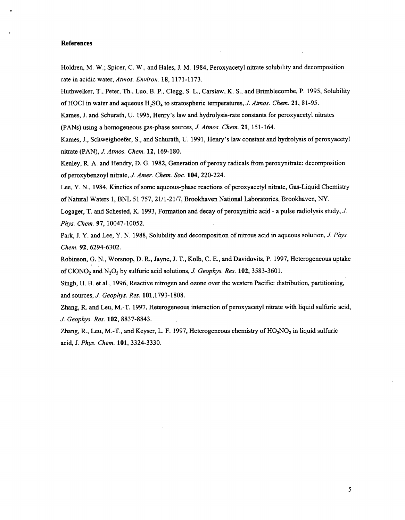# **References**

Holdren, M. W.; Spicer, C. W., and **Hales, J. M. 1984,** Peroxyacetyl nitrate solubility and decomposition rate in acidic water, *Amos. Environ.* **18, 1171-1 173.** 

Huthwelker, T., Peter, Th., Luo, B. P., Clegg, **S.** L., Carslaw, K. **S., and Brimblecombe, P. 1995,** Solubility of HOC1 in water and aqueous H2S0, to stratospheric temperatures, *J. Amos. Chem.* **21,81-95.** 

Kames, J. and Schurath, U. **1995,** Henry's law and hydrolysis-rate constants for peroxyacetyl nitrates (PANS) using a homogeneous gas-phase sources, *J. Atmos. Chem.* **21,15 1-164.** 

Kames, J., Schweighoefer, **S.,** and Schurath, U. **1991,** Henry's law constant and hydrolysis of peroxyacetyl nitrate (PAN), *J. Amos. Chem.* **12, 169-180.** 

Kenley, R. A. and Hendry, D. *G.* **1982,** Generation of peroxy radicals from peroxynitrate: decomposition of peroxybenzoyl nitrate, *J. Amer. Chem. SOC.* **104,220-224.** 

Lee, *Y.* N., **1984,** Kinetics of some aqueous-phase reactions of peroxyacetyl nitrate, Gas-Liquid Chemistry of Natural Waters **1,** BNL 5 **1** 757,21/1-21/7, Brookhaven National Laboratories, Brookhaven, *NY.* 

Logager, T. and Schested, K. **1993,** Formation and decay of peroxynitric acid - a pulse radiolysis study, *J. Phys. Chem.* **97, 10047-10052.** 

Park, J. *Y.* and Lee, *Y.* N. **1988,** Solubility and decomposition of nitrous acid in aqueous solution, *J. Phys. Chem.* **92,6294-6302.** 

Robinson, *G.* N., Worsnop, D. R., Jayne, J. T., Kolb, C. E., and Davidovits, **P. 1997,** Heterogeneous uptake of ClONO<sub>2</sub> and N<sub>2</sub>O<sub>5</sub> by sulfuric acid solutions, *J. Geophys. Res.* **102**, 3583-3601.

Singh, H. B. et al., 1996, Reactive nitrogen and ozone over the western Pacific: distribution, partitioning, and sources, *J. Geophys. Res.* **101,1793-1808.** 

Zhang, R. and Leu, M.-T. **1997,** Heterogeneous interaction of peroxyacetyl nitrate with liquid sulfuric acid, *J. Geophys. Res.* **102, 8837-8843.** 

Zhang, R., Leu, M.-T., and Keyser, L. F. 1997, Heterogeneous chemistry of HO<sub>2</sub>NO<sub>2</sub> in liquid sulfuric acid, J. *Phys. Chem.* **101,3324-3330.**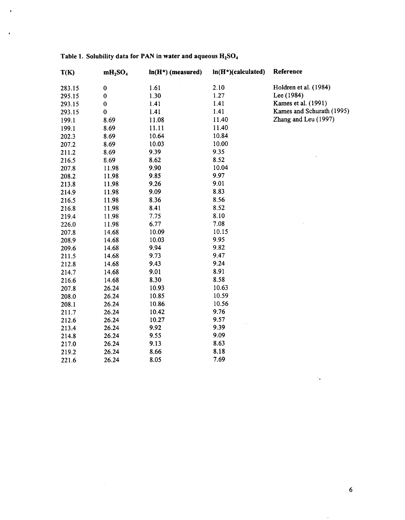| T(K)   | $mH_2SO_4$  | $ln(H*)$ (measured) | $ln(H*)$ (calculated) | Reference                 |
|--------|-------------|---------------------|-----------------------|---------------------------|
| 283.15 | $\mathbf 0$ | 1.61                | 2.10                  | Holdren et al. (1984)     |
| 295.15 | $\mathbf 0$ | 1.30                | 1.27                  | Lee (1984)                |
| 293.15 | $\mathbf 0$ | 1.41                | 1.41                  | Kames et al. (1991)       |
| 293.15 | $\bf{0}$    | 1.41                | 1.41                  | Kames and Schurath (1995) |
| 199.1  | 8.69        | 11.08               | 11.40                 | Zhang and Leu (1997)      |
| 199.1  | 8.69        | 11.11               | 11.40                 |                           |
| 202.3  | 8.69        | 10.64               | 10.84                 |                           |
| 207.2  | 8.69        | 10.03               | 10.00                 |                           |
| 211.2  | 8.69        | 9.39                | 9.35                  |                           |
| 216.5  | 8.69        | 8.62                | 8.52                  |                           |
| 207.8  | 11.98       | 9.90                | 10.04                 |                           |
| 208.2  | 11.98       | 9.85                | 9.97                  |                           |
| 213.8  | 11.98       | 9.26                | 9.01                  |                           |
| 214.9  | 11.98       | 9.09                | 8.83                  |                           |
| 216.5  | 11.98       | 8.36                | 8.56                  |                           |
| 216.8  | 11.98       | 8.41                | 8.52                  |                           |
| 219.4  | 11.98       | 7.75                | 8.10                  |                           |
| 226.0  | 11.98       | 6.77                | 7.08                  |                           |
| 207.8  | 14.68       | 10.09               | 10.15                 |                           |
| 208.9  | 14.68       | 10.03               | 9.95                  |                           |
| 209.6  | 14.68       | 9.94                | 9.82                  |                           |
| 211.5  | 14.68       | 9.73                | 9.47                  |                           |
| 212.8  | 14.68       | 9.43                | 9.24                  |                           |
| 214.7  | 14.68       | 9.01                | 8.91                  |                           |
| 216.6  | 14.68       | 8.30                | 8.58                  |                           |
| 207.8  | 26.24       | 10.93               | 10.63                 |                           |
| 208.0  | 26.24       | 10.85               | 10.59                 |                           |
| 208.1  | 26.24       | 10.86               | 10.56                 |                           |
| 211.7  | 26.24       | 10.42               | 9.76                  |                           |
| 212.6  | 26.24       | 10.27               | 9.57                  |                           |
| 213.4  | 26.24       | 9.92                | 9.39                  |                           |
| 214.8  | 26.24       | 9.55                | 9.09                  |                           |
| 217.0  | 26.24       | 9.13                | 8.63                  |                           |
| 219.2  | 26.24       | 8.66                | 8.18                  |                           |
| 221.6  | 26.24       | 8.05                | 7.69                  |                           |

# **Table 1. Solubility data for PAN in water and aqueous H2S04**

<span id="page-5-0"></span> $\star$ 

 $\ddot{\phantom{0}}$ 

 $\epsilon$ 

 $\mathcal{A}_\bullet$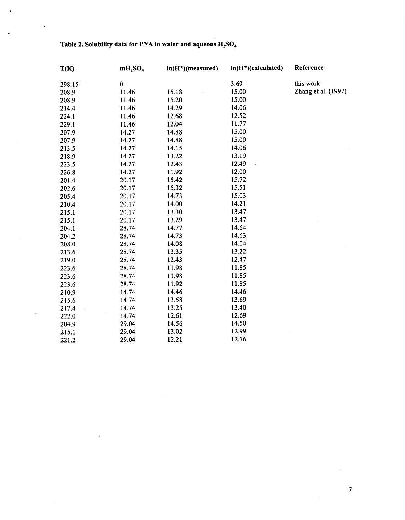| T(K)   | $mH_2SO_4$ | $ln(H*)(measured)$ | $ln(H*)(calculated)$ | Reference           |
|--------|------------|--------------------|----------------------|---------------------|
| 298.15 | $\bf{0}$   |                    | 3.69                 | this work           |
| 208.9  | 11.46      | 15.18              | 15.00                | Zhang et al. (1997) |
| 208.9  | 11.46      | 15.20              | 15.00                |                     |
| 214.4  | 11.46      | 14.29              | 14.06                |                     |
| 224.1  | 11.46      | 12.68              | 12.52                |                     |
| 229.1  | 11.46      | 12.04              | 11.77                |                     |
| 207.9  | 14.27      | 14.88              | 15.00                |                     |
| 207.9  | 14.27      | 14.88              | 15.00                |                     |
| 213.5  | 14.27      | 14.15              | 14.06                |                     |
| 218.9  | 14.27      | 13.22              | 13.19                |                     |
| 223.5  | 14.27      | 12.43              | 12.49                |                     |
| 226.8  | 14.27      | 11.92              | 12.00                |                     |
| 201.4  | 20.17      | 15.42              | 15.72                |                     |
| 202.6  | 20.17      | 15.32              | 15.51                |                     |
| 205.4  | 20.17      | 14.73              | 15.03                |                     |
| 210.4  | 20.17      | 14.00              | 14.21                |                     |
| 215.1  | 20.17      | 13.30              | 13.47                |                     |
| 215.1  | 20.17      | 13.29              | 13.47                |                     |
| 204.1  | 28.74      | 14.77              | 14.64                |                     |
| 204.2  | 28.74      | 14.73              | 14.63                |                     |
| 208.0  | 28.74      | 14.08              | 14.04                |                     |
| 213.6  | 28.74      | 13.35              | 13.22                |                     |
| 219.0  | 28.74      | 12.43              | 12.47                |                     |
| 223.6  | 28.74      | 11.98              | 11.85                |                     |
| 223.6  | 28.74      | 11.98              | 11.85                |                     |
| 223.6  | 28.74      | 11.92              | 11.85                |                     |
| 210.9  | 14.74      | 14.46              | 14.46                |                     |
| 215.6  | 14.74      | 13.58              | 13.69                |                     |
| 217.4  | 14.74      | 13.25              | 13.40                |                     |
| 222.0  | 14.74      | 12.61              | 12.69                |                     |
| 204.9  | 29.04      | 14.56              | 14.50                |                     |
| 215.1  | 29.04      | 13.02              | 12.99                |                     |
| 221.2  | 29.04      | 12.21              | 12.16                |                     |

# Table 2. Solubility data for PNA in water and aqueous  $H_2SO_4$

<span id="page-6-0"></span>.

 $\ddot{\phantom{0}}$ 

 $\ddot{\phantom{0}}$ 

 $\overline{a}$ 

 $\sim$ 

 $\bar{z}$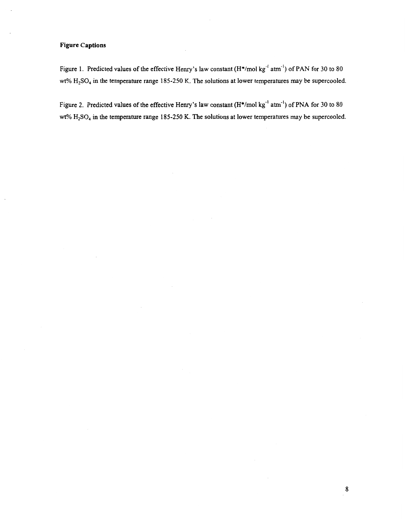# **Figure Captions**

Figure 1. Predicted values of the effective Henry's law constant  $(H^*/mol$  kg<sup>-1</sup> atm<sup>-1</sup>) of PAN for 30 to 80 wt% H<sub>2</sub>SO<sub>4</sub> in the temperature range 185-250 K. The solutions at lower temperatures may be supercooled.

Figure **2.** Predicted values **of** the effective Henry's law constant (H\*/mol **kg"** atm") of **PNA** for **30** to 80 wt% H,SO, in the temperature range **185-250** K. The solutions at lower temperatures may be supercooled.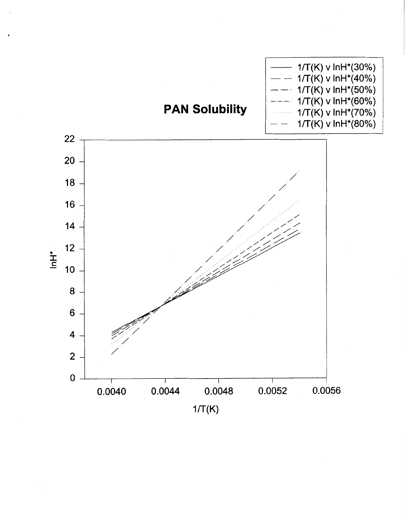

,